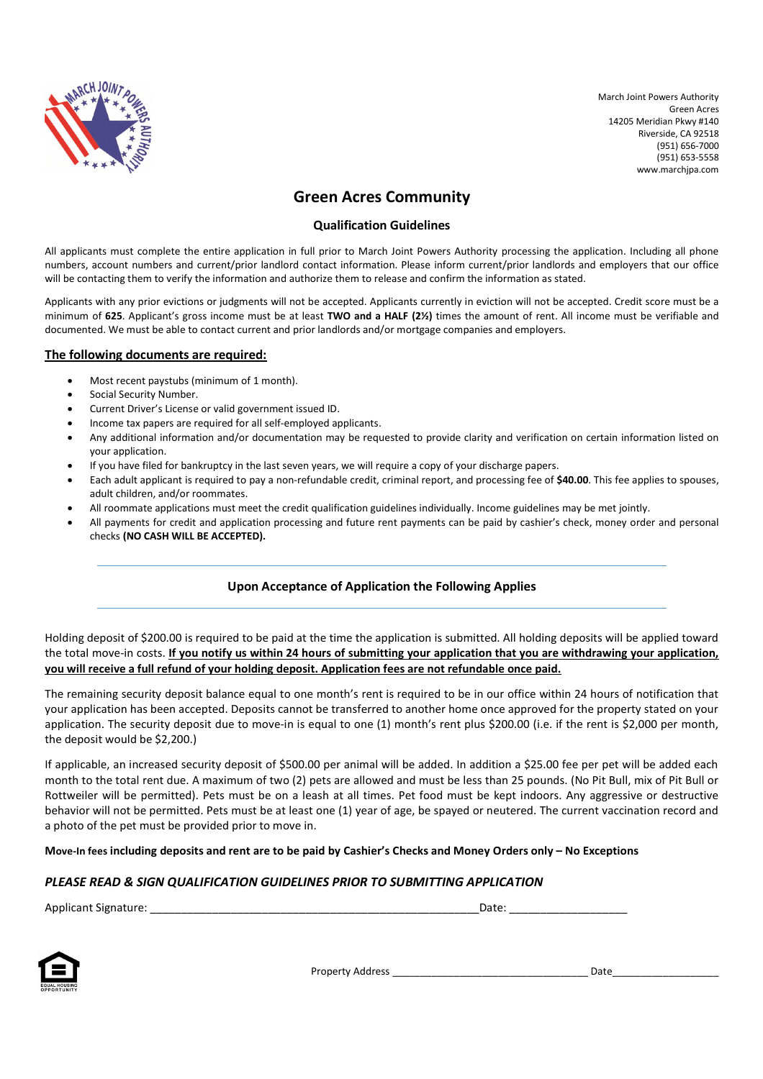

# **Green Acres Community**

# **Qualification Guidelines**

All applicants must complete the entire application in full prior to March Joint Powers Authority processing the application. Including all phone numbers, account numbers and current/prior landlord contact information. Please inform current/prior landlords and employers that our office will be contacting them to verify the information and authorize them to release and confirm the information as stated.

Applicants with any prior evictions or judgments will not be accepted. Applicants currently in eviction will not be accepted. Credit score must be a minimum of **625**. Applicant's gross income must be at least **TWO and a HALF (2½)** times the amount of rent. All income must be verifiable and documented. We must be able to contact current and prior landlords and/or mortgage companies and employers.

# **The following documents are required:**

- Most recent paystubs (minimum of 1 month).
- Social Security Number.
- Current Driver's License or valid government issued ID.
- Income tax papers are required for all self-employed applicants.
- Any additional information and/or documentation may be requested to provide clarity and verification on certain information listed on your application.
- If you have filed for bankruptcy in the last seven years, we will require a copy of your discharge papers.
- Each adult applicant is required to pay a non-refundable credit, criminal report, and processing fee of **\$40.00**. This fee applies to spouses, adult children, and/or roommates.
- All roommate applications must meet the credit qualification guidelines individually. Income guidelines may be met jointly.
- All payments for credit and application processing and future rent payments can be paid by cashier's check, money order and personal checks **(NO CASH WILL BE ACCEPTED).**

# **Upon Acceptance of Application the Following Applies**

Holding deposit of \$200.00 is required to be paid at the time the application is submitted. All holding deposits will be applied toward the total move-in costs. **If you notify us within 24 hours of submitting your application that you are withdrawing your application, you will receive a full refund of your holding deposit. Application fees are not refundable once paid.**

The remaining security deposit balance equal to one month's rent is required to be in our office within 24 hours of notification that your application has been accepted. Deposits cannot be transferred to another home once approved for the property stated on your application. The security deposit due to move-in is equal to one (1) month's rent plus \$200.00 (i.e. if the rent is \$2,000 per month, the deposit would be \$2,200.)

If applicable, an increased security deposit of \$500.00 per animal will be added. In addition a \$25.00 fee per pet will be added each month to the total rent due. A maximum of two (2) pets are allowed and must be less than 25 pounds. (No Pit Bull, mix of Pit Bull or Rottweiler will be permitted). Pets must be on a leash at all times. Pet food must be kept indoors. Any aggressive or destructive behavior will not be permitted. Pets must be at least one (1) year of age, be spayed or neutered. The current vaccination record and a photo of the pet must be provided prior to move in.

# **Move-In fees including deposits and rent are to be paid by Cashier's Checks and Money Orders only – No Exceptions**

# *PLEASE READ & SIGN QUALIFICATION GUIDELINES PRIOR TO SUBMITTING APPLICATION*

Applicant Signature: \_\_\_\_\_\_\_\_\_\_\_\_\_\_\_\_\_\_\_\_\_\_\_\_\_\_\_\_\_\_\_\_\_\_\_\_\_\_\_\_\_\_\_\_\_\_\_\_\_\_\_\_\_Date: \_\_\_\_\_\_\_\_\_\_\_\_\_\_\_\_\_\_\_



Property Address \_\_\_\_\_\_\_\_\_\_\_\_\_\_\_\_\_\_\_\_\_\_\_\_\_\_\_\_\_\_\_\_\_\_\_ Date\_\_\_\_\_\_\_\_\_\_\_\_\_\_\_\_\_\_\_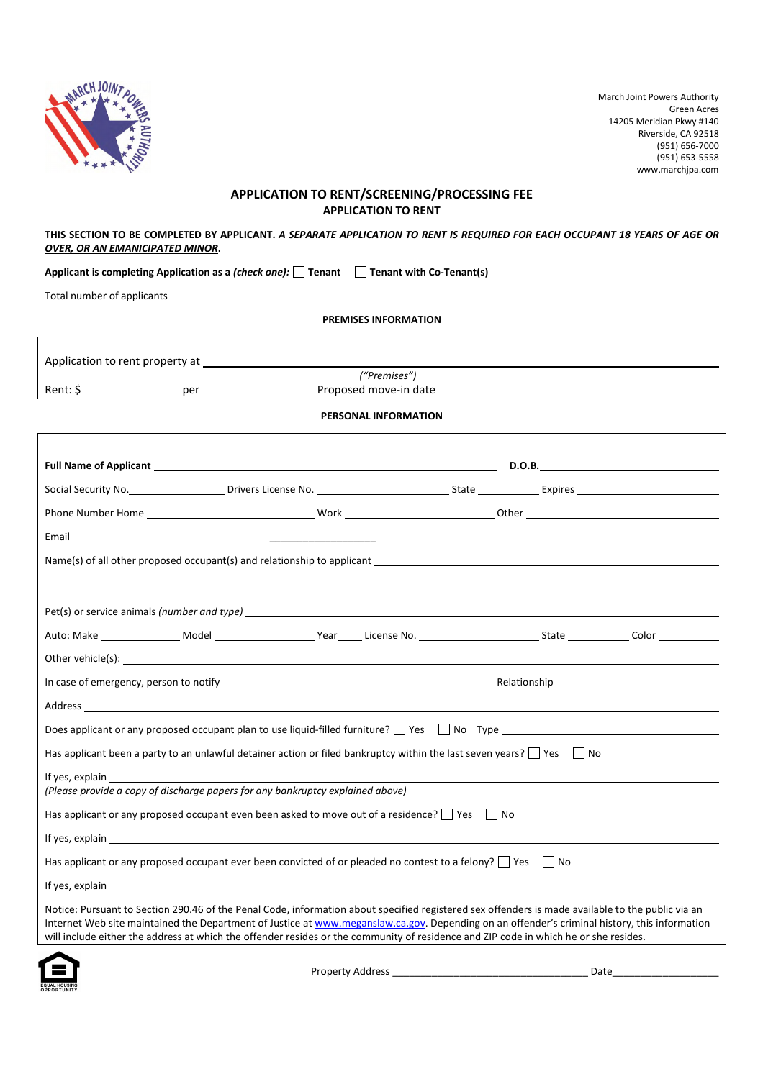

┑

### **APPLICATION TO RENT/SCREENING/PROCESSING FEE APPLICATION TO RENT**

#### **THIS SECTION TO BE COMPLETED BY APPLICANT.** *A SEPARATE APPLICATION TO RENT IS REQUIRED FOR EACH OCCUPANT 18 YEARS OF AGE OR OVER, OR AN EMANICIPATED MINOR***.**

**Applicant is completing Application as a** *(check one):* **Tenant Tenant with Co-Tenant(s)**

Total number of applicants

Г

**PREMISES INFORMATION**

| Application to rent property at |                       |
|---------------------------------|-----------------------|
|                                 | ("Premises")          |
| Rent: S<br>per                  | Proposed move-in date |
|                                 |                       |

#### **PERSONAL INFORMATION**

| Email and the contract of the contract of the contract of the contract of the contract of the contract of the                        |                                                                                                                                                                                                                                                                                                    |
|--------------------------------------------------------------------------------------------------------------------------------------|----------------------------------------------------------------------------------------------------------------------------------------------------------------------------------------------------------------------------------------------------------------------------------------------------|
|                                                                                                                                      | Name(s) of all other proposed occupant(s) and relationship to applicant                                                                                                                                                                                                                            |
|                                                                                                                                      |                                                                                                                                                                                                                                                                                                    |
|                                                                                                                                      |                                                                                                                                                                                                                                                                                                    |
|                                                                                                                                      |                                                                                                                                                                                                                                                                                                    |
|                                                                                                                                      |                                                                                                                                                                                                                                                                                                    |
|                                                                                                                                      |                                                                                                                                                                                                                                                                                                    |
|                                                                                                                                      |                                                                                                                                                                                                                                                                                                    |
|                                                                                                                                      | Does applicant or any proposed occupant plan to use liquid-filled furniture? $\Box$ Yes $\Box$ No Type $\Box$                                                                                                                                                                                      |
| Has applicant been a party to an unlawful detainer action or filed bankruptcy within the last seven years? $\Box$ Yes $\Box$ No      |                                                                                                                                                                                                                                                                                                    |
| If yes, explain                                                                                                                      |                                                                                                                                                                                                                                                                                                    |
| (Please provide a copy of discharge papers for any bankruptcy explained above)                                                       |                                                                                                                                                                                                                                                                                                    |
| Has applicant or any proposed occupant even been asked to move out of a residence? $\vert$ Yes $\vert$ No                            |                                                                                                                                                                                                                                                                                                    |
|                                                                                                                                      |                                                                                                                                                                                                                                                                                                    |
| Has applicant or any proposed occupant ever been convicted of or pleaded no contest to a felony? $\Box$ Yes $\Box$ No                |                                                                                                                                                                                                                                                                                                    |
|                                                                                                                                      |                                                                                                                                                                                                                                                                                                    |
| will include either the address at which the offender resides or the community of residence and ZIP code in which he or she resides. | Notice: Pursuant to Section 290.46 of the Penal Code, information about specified registered sex offenders is made available to the public via an<br>Internet Web site maintained the Department of Justice at www.meganslaw.ca.gov. Depending on an offender's criminal history, this information |
|                                                                                                                                      |                                                                                                                                                                                                                                                                                                    |



Property Address \_\_\_\_\_\_\_\_\_\_\_\_\_\_\_\_\_\_\_\_\_\_\_\_\_\_\_\_\_\_\_\_\_\_\_ Date\_\_\_\_\_\_\_\_\_\_\_\_\_\_\_\_\_\_\_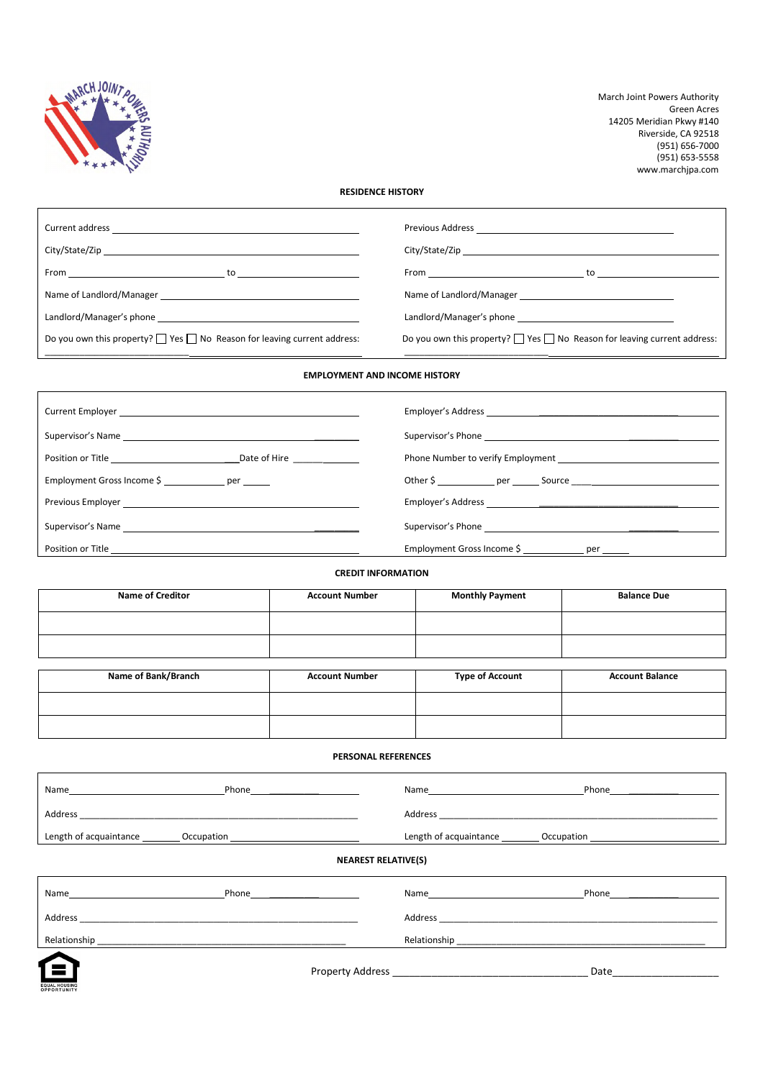

### **RESIDENCE HISTORY**

|                                                                                    | $From $ $to $                                                                      |
|------------------------------------------------------------------------------------|------------------------------------------------------------------------------------|
|                                                                                    |                                                                                    |
|                                                                                    |                                                                                    |
| Do you own this property? $\Box$ Yes $\Box$ No Reason for leaving current address: | Do you own this property? $\Box$ Yes $\Box$ No Reason for leaving current address: |
|                                                                                    |                                                                                    |

#### **EMPLOYMENT AND INCOME HISTORY**

| Date of Hire <u>success</u><br>Position or Title <u>_________________</u> ___                                                                                                                                                  |                                                      |
|--------------------------------------------------------------------------------------------------------------------------------------------------------------------------------------------------------------------------------|------------------------------------------------------|
| Employment Gross Income \$ per                                                                                                                                                                                                 |                                                      |
|                                                                                                                                                                                                                                |                                                      |
| Supervisor's Name and the contract of the contract of the contract of the contract of the contract of the contract of the contract of the contract of the contract of the contract of the contract of the contract of the cont |                                                      |
| Position or Title <u>_________________________________</u>                                                                                                                                                                     | Employment Gross Income \$ ______________ per ______ |

**CREDIT INFORMATION**

| <b>Name of Creditor</b> | <b>Account Number</b> | <b>Monthly Payment</b> | <b>Balance Due</b>     |
|-------------------------|-----------------------|------------------------|------------------------|
|                         |                       |                        |                        |
|                         |                       |                        |                        |
|                         |                       |                        |                        |
| Name of Bank/Branch     | <b>Account Number</b> | <b>Type of Account</b> | <b>Account Balance</b> |

| PERSONAL REFERENCES |
|---------------------|
|---------------------|

| Name                   | Phone      | Name                                 | Phone |
|------------------------|------------|--------------------------------------|-------|
| Address                |            | Address                              |       |
| Length of acquaintance | Occupation | Length of acquaintance<br>Occupation |       |
|                        |            |                                      |       |

#### **NEAREST RELATIVE(S)**

| Name                     | Phone | Name         | Phone |
|--------------------------|-------|--------------|-------|
| Address                  |       | Address      |       |
| Relationship             |       | Relationship |       |
| $\overline{\phantom{a}}$ |       |              |       |



Property Address \_\_\_\_\_\_\_\_\_\_\_\_\_\_\_\_\_\_\_\_\_\_\_\_\_\_\_\_\_\_\_\_\_\_\_ Date\_\_\_\_\_\_\_\_\_\_\_\_\_\_\_\_\_\_\_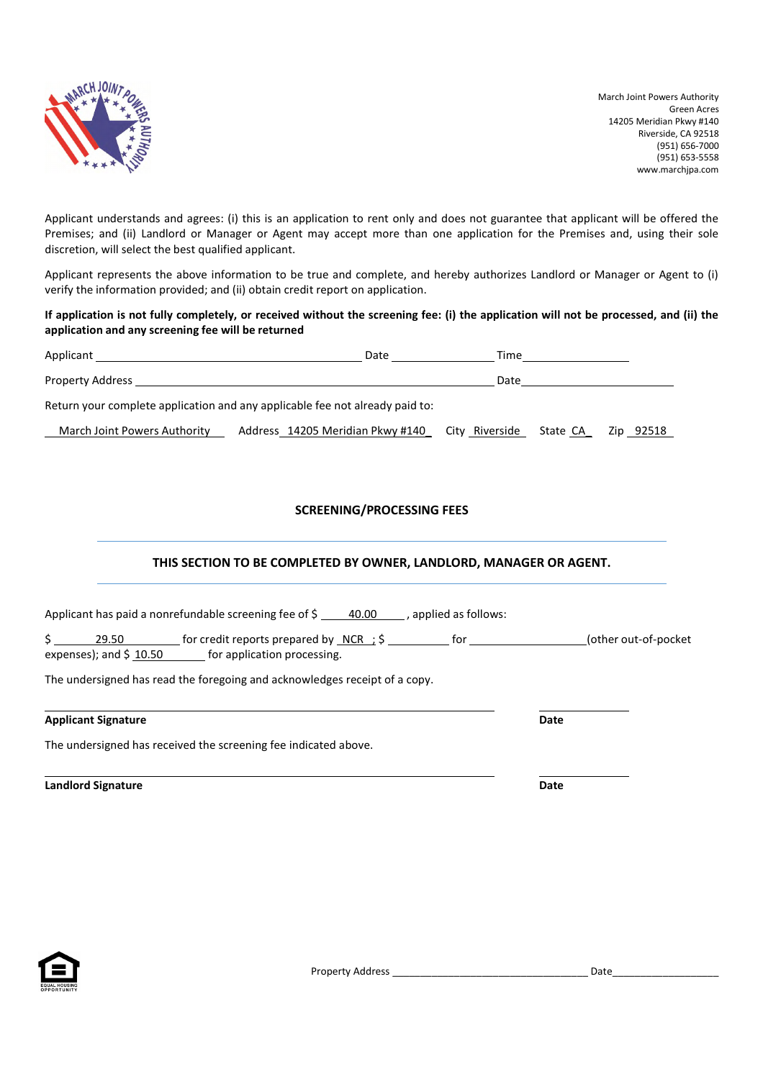

Applicant understands and agrees: (i) this is an application to rent only and does not guarantee that applicant will be offered the Premises; and (ii) Landlord or Manager or Agent may accept more than one application for the Premises and, using their sole discretion, will select the best qualified applicant.

Applicant represents the above information to be true and complete, and hereby authorizes Landlord or Manager or Agent to (i) verify the information provided; and (ii) obtain credit report on application.

**If application is not fully completely, or received without the screening fee: (i) the application will not be processed, and (ii) the application and any screening fee will be returned**

| Applicant the contract of the contract of the contract of the contract of the contract of the contract of the contract of the contract of the contract of the contract of the contract of the contract of the contract of the | Date                                                                                                                                                                                                                           | Time |          |           |
|-------------------------------------------------------------------------------------------------------------------------------------------------------------------------------------------------------------------------------|--------------------------------------------------------------------------------------------------------------------------------------------------------------------------------------------------------------------------------|------|----------|-----------|
|                                                                                                                                                                                                                               | Property Address and the contract of the contract of the contract of the contract of the contract of the contract of the contract of the contract of the contract of the contract of the contract of the contract of the contr | Date |          |           |
|                                                                                                                                                                                                                               | Return your complete application and any applicable fee not already paid to:                                                                                                                                                   |      |          |           |
| March Joint Powers Authority                                                                                                                                                                                                  | Address 14205 Meridian Pkwy #140 City Riverside                                                                                                                                                                                |      | State CA | Zip 92518 |
|                                                                                                                                                                                                                               |                                                                                                                                                                                                                                |      |          |           |

# **SCREENING/PROCESSING FEES**

# **THIS SECTION TO BE COMPLETED BY OWNER, LANDLORD, MANAGER OR AGENT.**

| Applicant has paid a nonrefundable screening fee of $\frac{2}{5}$ 40.00<br>, applied as follows:                               |                       |
|--------------------------------------------------------------------------------------------------------------------------------|-----------------------|
| for credit reports prepared by $NCR$ ; $\frac{1}{2}$<br>29.50<br>for<br>expenses); and $$10.50$<br>for application processing. | (other out-of-pocket) |
| The undersigned has read the foregoing and acknowledges receipt of a copy.                                                     |                       |
| <b>Applicant Signature</b>                                                                                                     | Date                  |

The undersigned has received the screening fee indicated above.

**Landlord Signature Date**

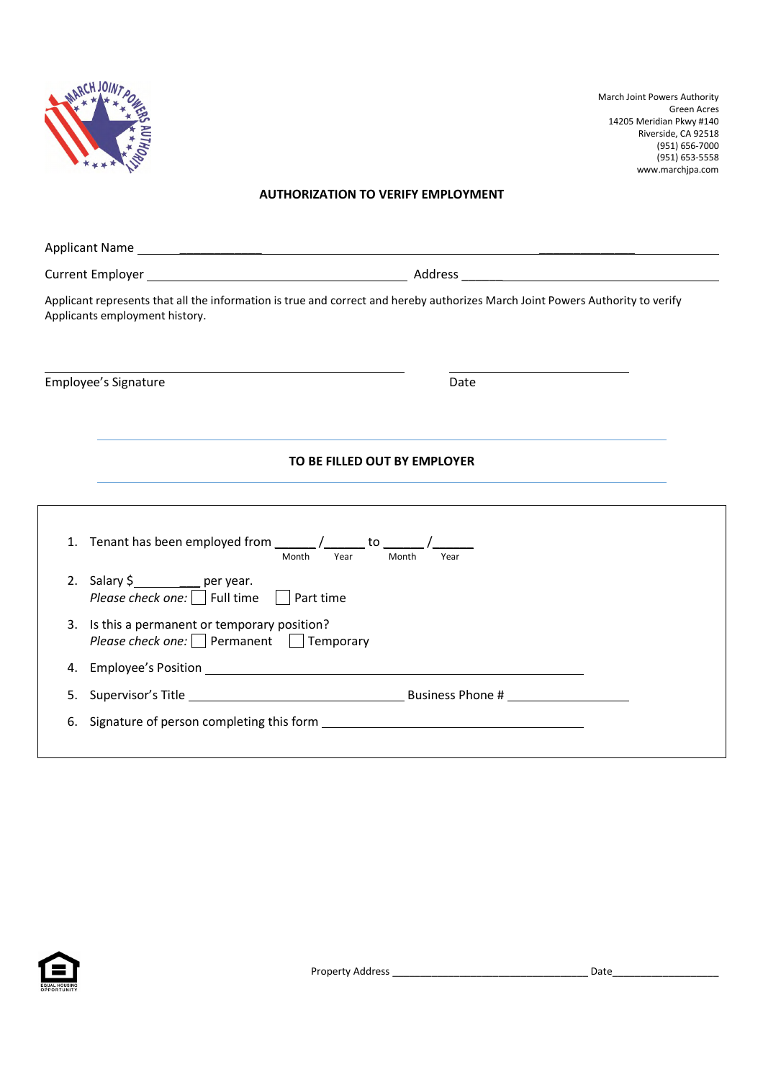

### **AUTHORIZATION TO VERIFY EMPLOYMENT**

| Applicant represents that all the information is true and correct and hereby authorizes March Joint Powers Authority to verify<br>Applicants employment history. |               |
|------------------------------------------------------------------------------------------------------------------------------------------------------------------|---------------|
| Employee's Signature                                                                                                                                             | Date          |
| TO BE FILLED OUT BY EMPLOYER                                                                                                                                     |               |
| Month<br>Year                                                                                                                                                    | Month<br>Year |
| 2. Salary $\frac{1}{2}$ per year.<br>Please check one:     Full time    <br>Part time                                                                            |               |
| 3. Is this a permanent or temporary position?<br>Please check one: Permanent Temporary                                                                           |               |
|                                                                                                                                                                  |               |
|                                                                                                                                                                  |               |
| 6. Signature of person completing this form                                                                                                                      |               |